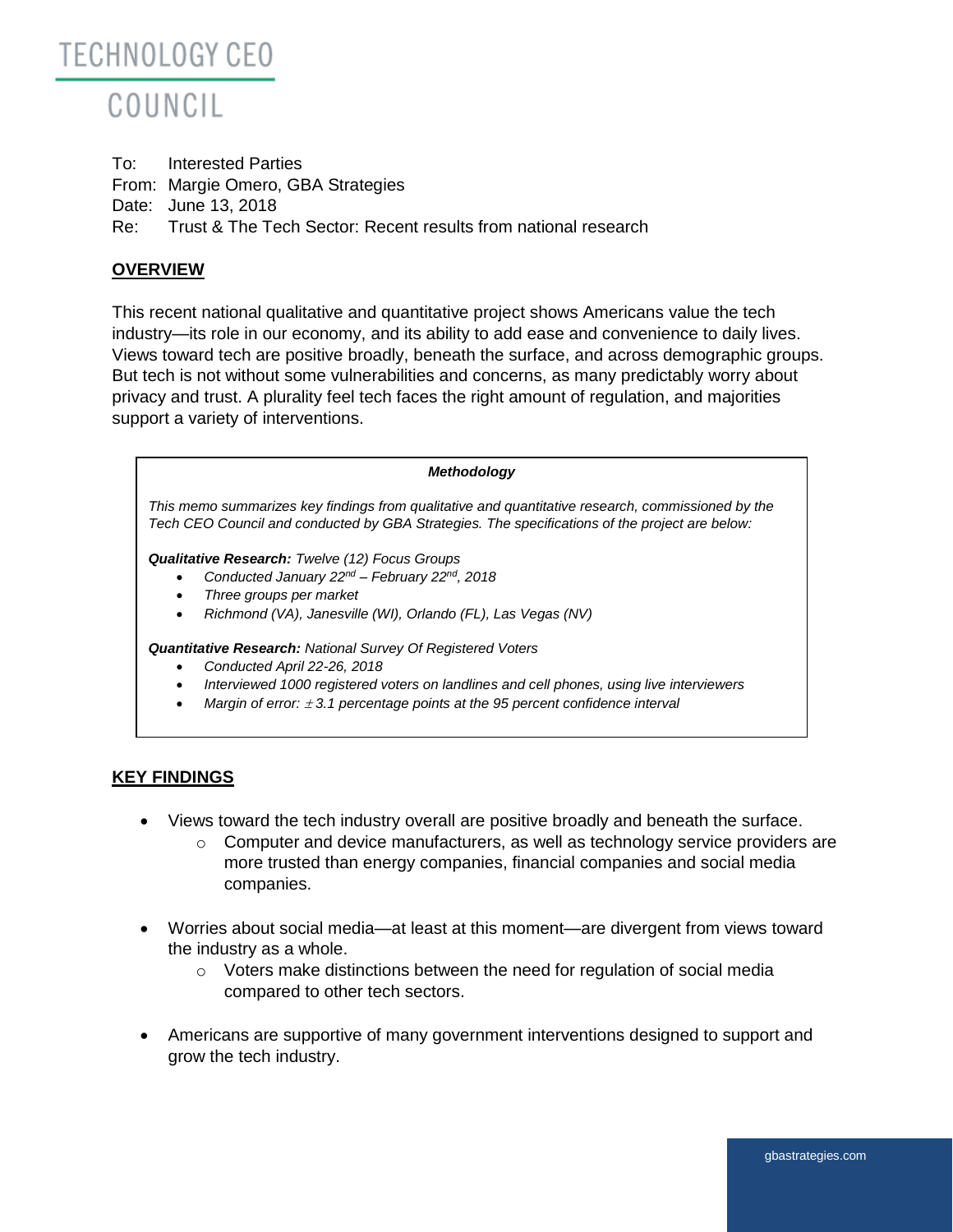

To: Interested Parties From: Margie Omero, GBA Strategies Date: June 13, 2018 Re: Trust & The Tech Sector: Recent results from national research

# **OVERVIEW**

This recent national qualitative and quantitative project shows Americans value the tech industry—its role in our economy, and its ability to add ease and convenience to daily lives. Views toward tech are positive broadly, beneath the surface, and across demographic groups. But tech is not without some vulnerabilities and concerns, as many predictably worry about privacy and trust. A plurality feel tech faces the right amount of regulation, and majorities support a variety of interventions.

| <b>Methodology</b>                                                                                                                                                                                                                                                                  |  |  |  |
|-------------------------------------------------------------------------------------------------------------------------------------------------------------------------------------------------------------------------------------------------------------------------------------|--|--|--|
| This memo summarizes key findings from qualitative and quantitative research, commissioned by the<br>Tech CEO Council and conducted by GBA Strategies. The specifications of the project are below:                                                                                 |  |  |  |
| <b>Qualitative Research:</b> Twelve (12) Focus Groups<br>Conducted January $22^{nd}$ – February $22^{nd}$ , 2018<br>Three groups per market<br>Richmond (VA), Janesville (WI), Orlando (FL), Las Vegas (NV)<br>$\bullet$                                                            |  |  |  |
| <b>Quantitative Research:</b> National Survey Of Registered Voters<br>Conducted April 22-26, 2018<br>Interviewed 1000 registered voters on landlines and cell phones, using live interviewers<br>Margin of error: $\pm$ 3.1 percentage points at the 95 percent confidence interval |  |  |  |
|                                                                                                                                                                                                                                                                                     |  |  |  |

### **KEY FINDINGS**

- Views toward the tech industry overall are positive broadly and beneath the surface.
	- $\circ$  Computer and device manufacturers, as well as technology service providers are more trusted than energy companies, financial companies and social media companies.
- Worries about social media—at least at this moment—are divergent from views toward the industry as a whole.
	- o Voters make distinctions between the need for regulation of social media compared to other tech sectors.
- Americans are supportive of many government interventions designed to support and grow the tech industry.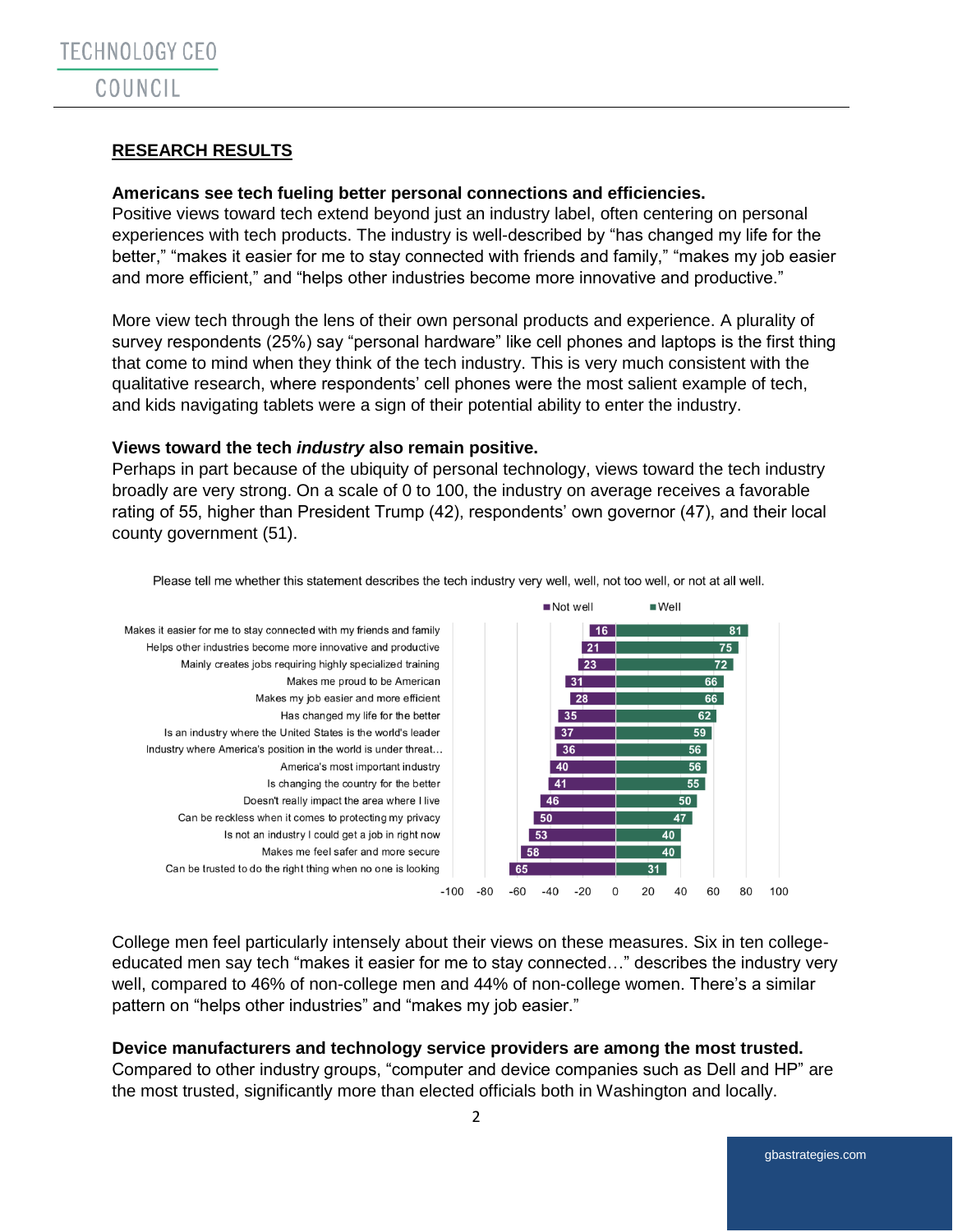# **RESEARCH RESULTS**

### **Americans see tech fueling better personal connections and efficiencies.**

Positive views toward tech extend beyond just an industry label, often centering on personal experiences with tech products. The industry is well-described by "has changed my life for the better," "makes it easier for me to stay connected with friends and family," "makes my job easier and more efficient," and "helps other industries become more innovative and productive."

More view tech through the lens of their own personal products and experience. A plurality of survey respondents (25%) say "personal hardware" like cell phones and laptops is the first thing that come to mind when they think of the tech industry. This is very much consistent with the qualitative research, where respondents' cell phones were the most salient example of tech, and kids navigating tablets were a sign of their potential ability to enter the industry.

#### **Views toward the tech** *industry* **also remain positive.**

Perhaps in part because of the ubiquity of personal technology, views toward the tech industry broadly are very strong. On a scale of 0 to 100, the industry on average receives a favorable rating of 55, higher than President Trump (42), respondents' own governor (47), and their local county government (51).



Please tell me whether this statement describes the tech industry very well, well, not too well, or not at all well.

College men feel particularly intensely about their views on these measures. Six in ten collegeeducated men say tech "makes it easier for me to stay connected…" describes the industry very well, compared to 46% of non-college men and 44% of non-college women. There's a similar pattern on "helps other industries" and "makes my job easier."

### **Device manufacturers and technology service providers are among the most trusted.**

Compared to other industry groups, "computer and device companies such as Dell and HP" are the most trusted, significantly more than elected officials both in Washington and locally.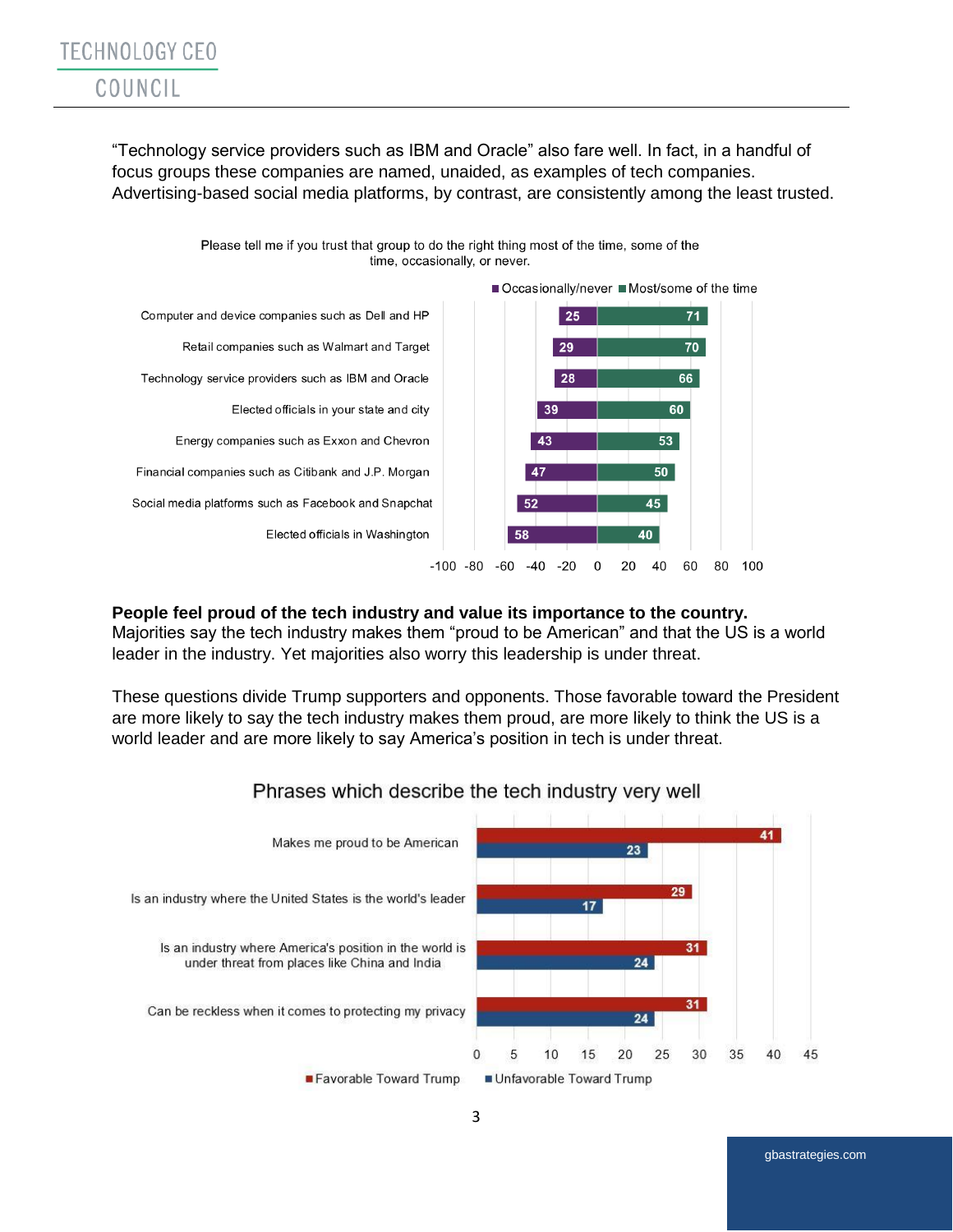"Technology service providers such as IBM and Oracle" also fare well. In fact, in a handful of focus groups these companies are named, unaided, as examples of tech companies. Advertising-based social media platforms, by contrast, are consistently among the least trusted.



Please tell me if you trust that group to do the right thing most of the time, some of the time, occasionally, or never.

#### **People feel proud of the tech industry and value its importance to the country.**

Majorities say the tech industry makes them "proud to be American" and that the US is a world leader in the industry. Yet majorities also worry this leadership is under threat.

These questions divide Trump supporters and opponents. Those favorable toward the President are more likely to say the tech industry makes them proud, are more likely to think the US is a world leader and are more likely to say America's position in tech is under threat.



# Phrases which describe the tech industry very well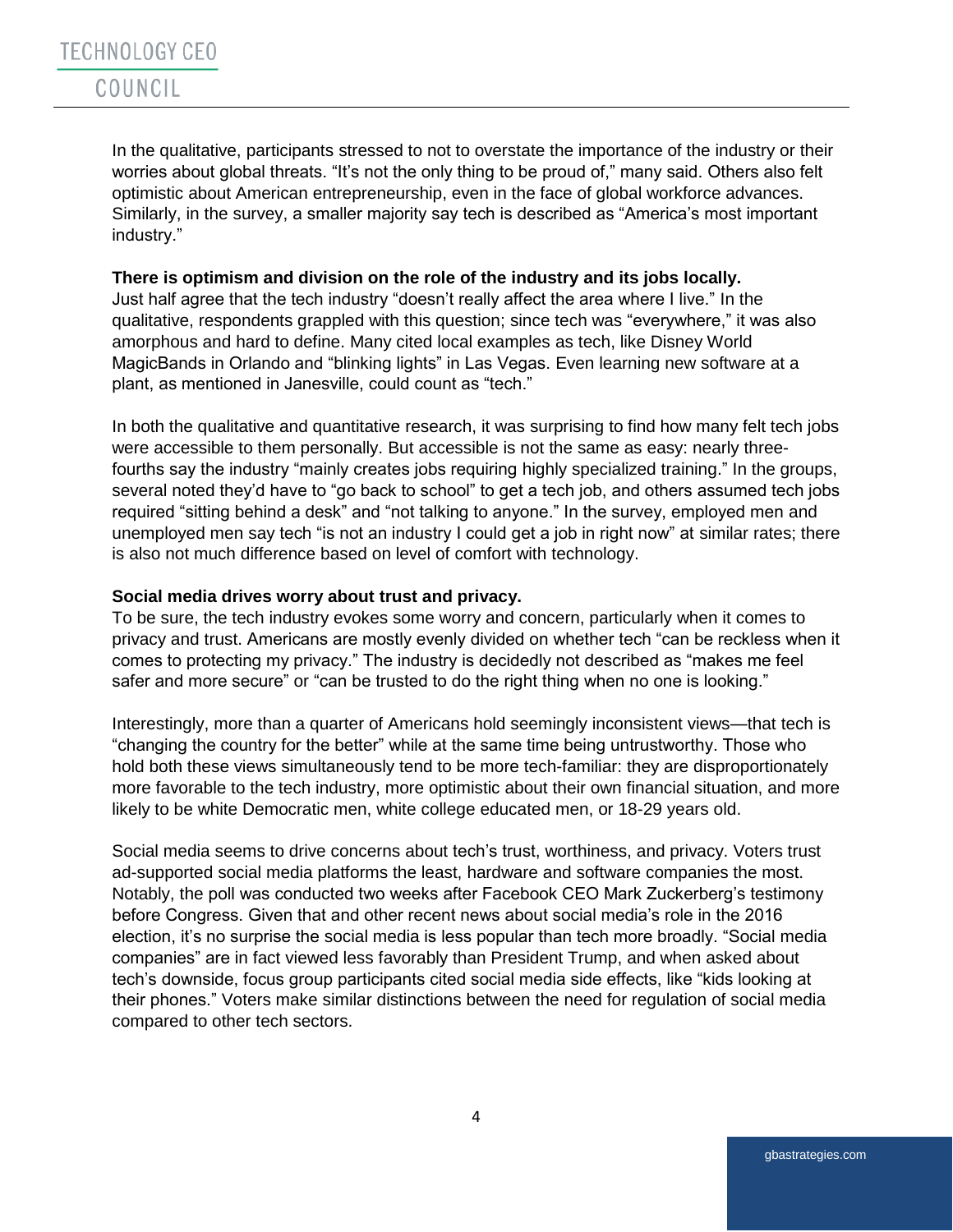In the qualitative, participants stressed to not to overstate the importance of the industry or their worries about global threats. "It's not the only thing to be proud of," many said. Others also felt optimistic about American entrepreneurship, even in the face of global workforce advances. Similarly, in the survey, a smaller majority say tech is described as "America's most important industry."

#### **There is optimism and division on the role of the industry and its jobs locally.**

Just half agree that the tech industry "doesn't really affect the area where I live." In the qualitative, respondents grappled with this question; since tech was "everywhere," it was also amorphous and hard to define. Many cited local examples as tech, like Disney World MagicBands in Orlando and "blinking lights" in Las Vegas. Even learning new software at a plant, as mentioned in Janesville, could count as "tech."

In both the qualitative and quantitative research, it was surprising to find how many felt tech jobs were accessible to them personally. But accessible is not the same as easy: nearly threefourths say the industry "mainly creates jobs requiring highly specialized training." In the groups, several noted they'd have to "go back to school" to get a tech job, and others assumed tech jobs required "sitting behind a desk" and "not talking to anyone." In the survey, employed men and unemployed men say tech "is not an industry I could get a job in right now" at similar rates; there is also not much difference based on level of comfort with technology.

### **Social media drives worry about trust and privacy.**

To be sure, the tech industry evokes some worry and concern, particularly when it comes to privacy and trust. Americans are mostly evenly divided on whether tech "can be reckless when it comes to protecting my privacy." The industry is decidedly not described as "makes me feel safer and more secure" or "can be trusted to do the right thing when no one is looking."

Interestingly, more than a quarter of Americans hold seemingly inconsistent views—that tech is "changing the country for the better" while at the same time being untrustworthy. Those who hold both these views simultaneously tend to be more tech-familiar: they are disproportionately more favorable to the tech industry, more optimistic about their own financial situation, and more likely to be white Democratic men, white college educated men, or 18-29 years old.

Social media seems to drive concerns about tech's trust, worthiness, and privacy. Voters trust ad-supported social media platforms the least, hardware and software companies the most. Notably, the poll was conducted two weeks after Facebook CEO Mark Zuckerberg's testimony before Congress. Given that and other recent news about social media's role in the 2016 election, it's no surprise the social media is less popular than tech more broadly. "Social media companies" are in fact viewed less favorably than President Trump, and when asked about tech's downside, focus group participants cited social media side effects, like "kids looking at their phones." Voters make similar distinctions between the need for regulation of social media compared to other tech sectors.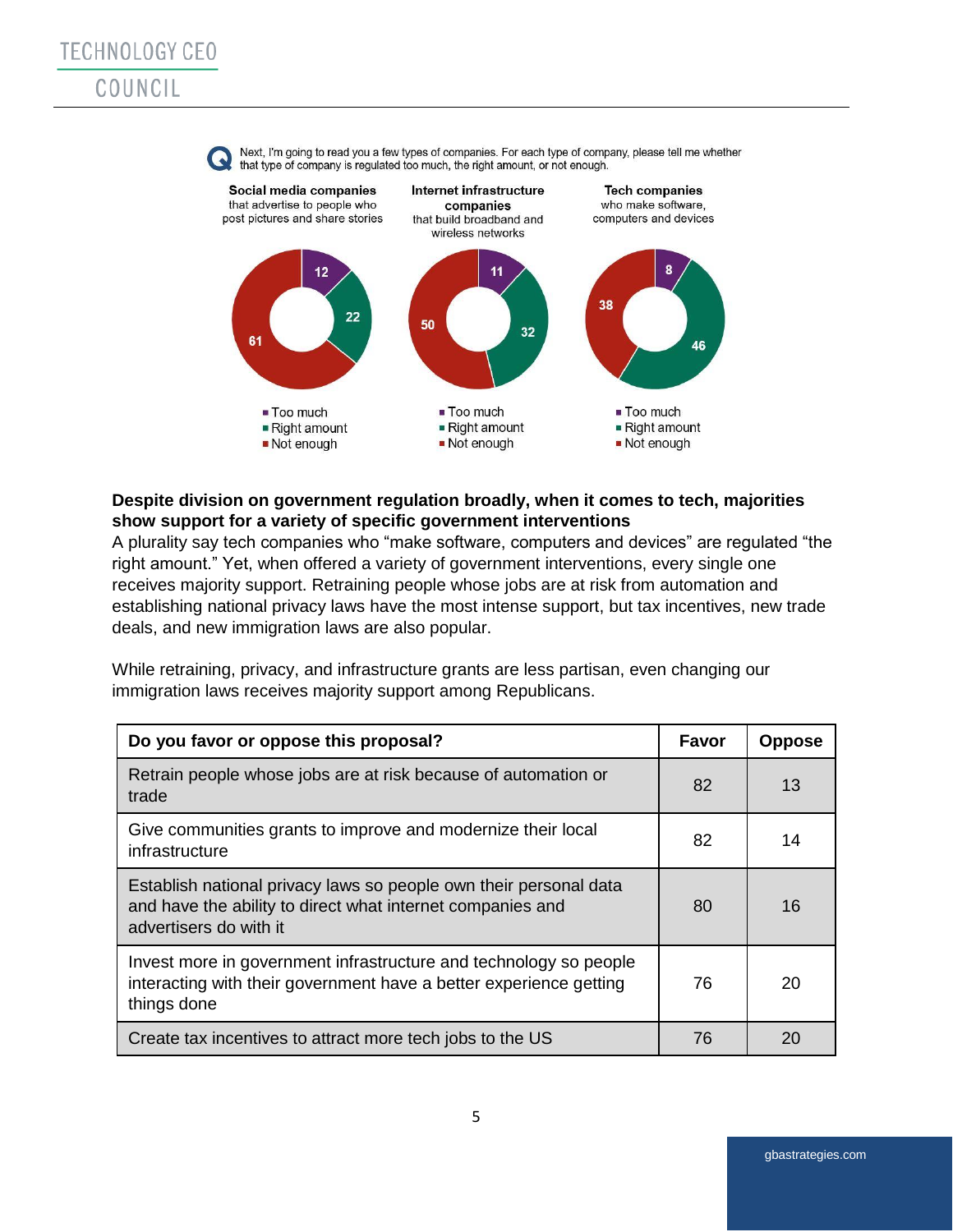

# **Despite division on government regulation broadly, when it comes to tech, majorities show support for a variety of specific government interventions**

A plurality say tech companies who "make software, computers and devices" are regulated "the right amount." Yet, when offered a variety of government interventions, every single one receives majority support. Retraining people whose jobs are at risk from automation and establishing national privacy laws have the most intense support, but tax incentives, new trade deals, and new immigration laws are also popular.

While retraining, privacy, and infrastructure grants are less partisan, even changing our immigration laws receives majority support among Republicans.

| Do you favor or oppose this proposal?                                                                                                                     | Favor | <b>Oppose</b> |
|-----------------------------------------------------------------------------------------------------------------------------------------------------------|-------|---------------|
| Retrain people whose jobs are at risk because of automation or<br>trade                                                                                   | 82    | 13            |
| Give communities grants to improve and modernize their local<br>infrastructure                                                                            | 82    | 14            |
| Establish national privacy laws so people own their personal data<br>and have the ability to direct what internet companies and<br>advertisers do with it | 80    | 16            |
| Invest more in government infrastructure and technology so people<br>interacting with their government have a better experience getting<br>things done    | 76    | 20            |
| Create tax incentives to attract more tech jobs to the US                                                                                                 | 76    | 20            |